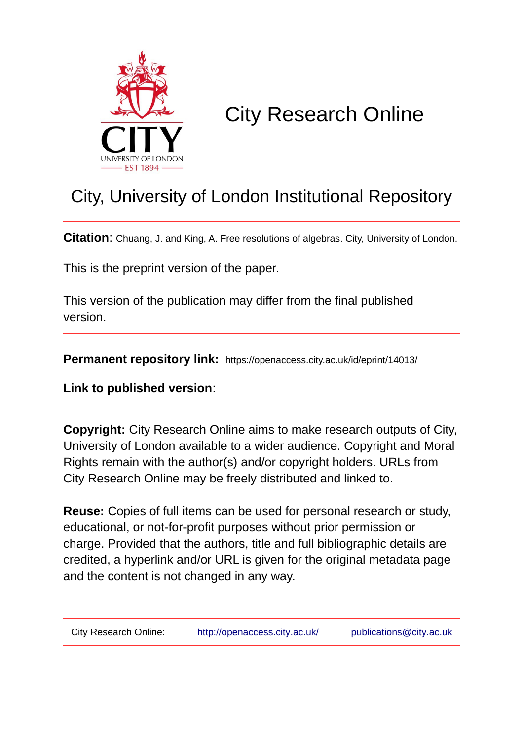

# City Research Online

## City, University of London Institutional Repository

**Citation**: Chuang, J. and King, A. Free resolutions of algebras. City, University of London.

This is the preprint version of the paper.

This version of the publication may differ from the final published version.

**Permanent repository link:** https://openaccess.city.ac.uk/id/eprint/14013/

**Link to published version**:

**Copyright:** City Research Online aims to make research outputs of City, University of London available to a wider audience. Copyright and Moral Rights remain with the author(s) and/or copyright holders. URLs from City Research Online may be freely distributed and linked to.

**Reuse:** Copies of full items can be used for personal research or study, educational, or not-for-profit purposes without prior permission or charge. Provided that the authors, title and full bibliographic details are credited, a hyperlink and/or URL is given for the original metadata page and the content is not changed in any way.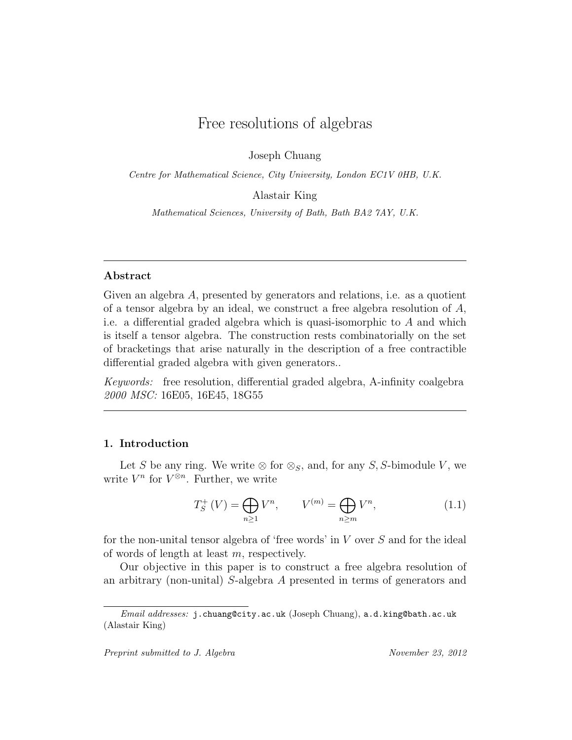## Free resolutions of algebras

Joseph Chuang

Centre for Mathematical Science, City University, London EC1V 0HB, U.K.

Alastair King

Mathematical Sciences, University of Bath, Bath BA2 7AY, U.K.

#### Abstract

Given an algebra A, presented by generators and relations, i.e. as a quotient of a tensor algebra by an ideal, we construct a free algebra resolution of  $A$ , i.e. a differential graded algebra which is quasi-isomorphic to A and which is itself a tensor algebra. The construction rests combinatorially on the set of bracketings that arise naturally in the description of a free contractible differential graded algebra with given generators..

Keywords: free resolution, differential graded algebra, A-infinity coalgebra 2000 MSC: 16E05, 16E45, 18G55

#### 1. Introduction

Let S be any ring. We write  $\otimes$  for  $\otimes_S$ , and, for any S, S-bimodule V, we write  $V^n$  for  $V^{\otimes n}$ . Further, we write

$$
T_S^+(V) = \bigoplus_{n \ge 1} V^n, \qquad V^{(m)} = \bigoplus_{n \ge m} V^n,\tag{1.1}
$$

for the non-unital tensor algebra of 'free words' in V over S and for the ideal of words of length at least m, respectively.

Our objective in this paper is to construct a free algebra resolution of an arbitrary (non-unital) S-algebra A presented in terms of generators and

Email addresses: j.chuang@city.ac.uk (Joseph Chuang), a.d.king@bath.ac.uk (Alastair King)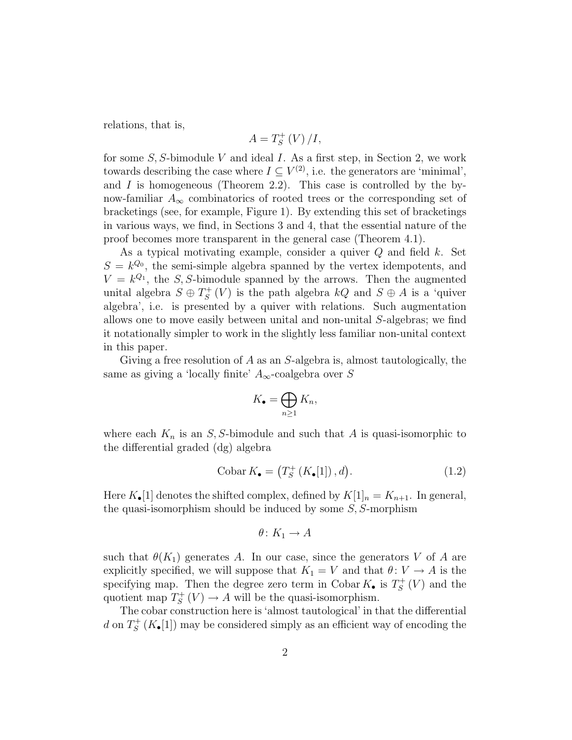relations, that is,

$$
A=T_{S}^{+}\left( V\right) /I,
$$

for some  $S$ , S-bimodule V and ideal I. As a first step, in Section 2, we work towards describing the case where  $I \subseteq V^{(2)}$ , i.e. the generators are 'minimal', and  $I$  is homogeneous (Theorem 2.2). This case is controlled by the bynow-familiar  $A_{\infty}$  combinatorics of rooted trees or the corresponding set of bracketings (see, for example, Figure 1). By extending this set of bracketings in various ways, we find, in Sections 3 and 4, that the essential nature of the proof becomes more transparent in the general case (Theorem 4.1).

As a typical motivating example, consider a quiver  $Q$  and field  $k$ . Set  $S = k^{Q_0}$ , the semi-simple algebra spanned by the vertex idempotents, and  $V = k^{Q_1}$ , the S, S-bimodule spanned by the arrows. Then the augmented unital algebra  $S \oplus T_S^+$  $S^+(V)$  is the path algebra  $kQ$  and  $S \oplus A$  is a 'quiver' algebra', i.e. is presented by a quiver with relations. Such augmentation allows one to move easily between unital and non-unital S-algebras; we find it notationally simpler to work in the slightly less familiar non-unital context in this paper.

Giving a free resolution of A as an S-algebra is, almost tautologically, the same as giving a 'locally finite'  $A_{\infty}$ -coalgebra over S

$$
K_{\bullet} = \bigoplus_{n \geq 1} K_n,
$$

where each  $K_n$  is an S, S-bimodule and such that A is quasi-isomorphic to the differential graded (dg) algebra

$$
\text{Cobar } K_{\bullet} = \left( T_S^+ \left( K_{\bullet} [1] \right), d \right). \tag{1.2}
$$

Here  $K_{\bullet}[1]$  denotes the shifted complex, defined by  $K[1]_n = K_{n+1}$ . In general, the quasi-isomorphism should be induced by some  $S$ ,  $S$ -morphism

$$
\theta \colon K_1 \to A
$$

such that  $\theta(K_1)$  generates A. In our case, since the generators V of A are explicitly specified, we will suppose that  $K_1 = V$  and that  $\theta: V \to A$  is the specifying map. Then the degree zero term in Cobar  $K_{\bullet}$  is  $T_{S}^{+}$  $\iota_S^+(V)$  and the quotient map  $T_S^+$  $S^+(V) \to A$  will be the quasi-isomorphism.

The cobar construction here is 'almost tautological' in that the differential d on  $T_S^+$  $S^+(K_{\bullet}[1])$  may be considered simply as an efficient way of encoding the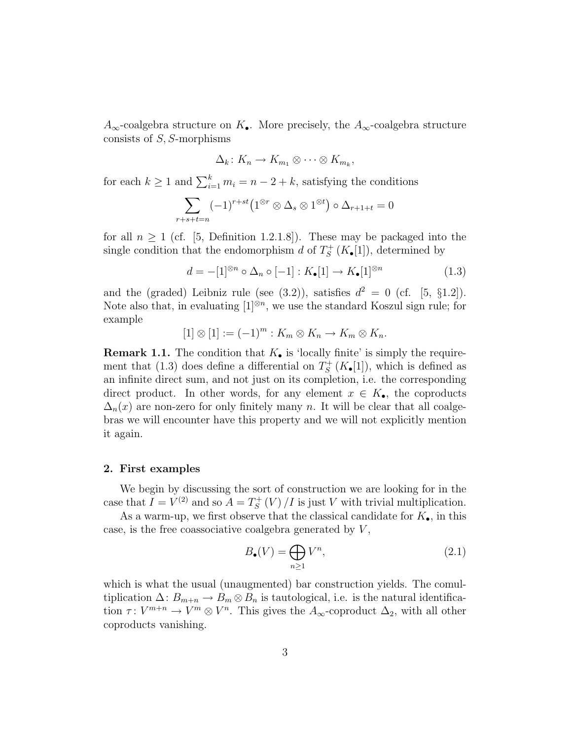$A_{\infty}$ -coalgebra structure on  $K_{\bullet}$ . More precisely, the  $A_{\infty}$ -coalgebra structure consists of S, S-morphisms

$$
\Delta_k\colon K_n\to K_{m_1}\otimes\cdots\otimes K_{m_k},
$$

for each  $k \geq 1$  and  $\sum_{i=1}^{k} m_i = n - 2 + k$ , satisfying the conditions

$$
\sum_{r+s+t=n} (-1)^{r+st} \left(1^{\otimes r} \otimes \Delta_s \otimes 1^{\otimes t}\right) \circ \Delta_{r+1+t} = 0
$$

for all  $n \geq 1$  (cf. [5, Definition 1.2.1.8]). These may be packaged into the single condition that the endomorphism d of  $T_s^+$  $S^+(K_{\bullet}[1]),$  determined by

$$
d = -[1]^{\otimes n} \circ \Delta_n \circ [-1] : K_{\bullet}[1] \to K_{\bullet}[1]^{\otimes n} \tag{1.3}
$$

and the (graded) Leibniz rule (see (3.2)), satisfies  $d^2 = 0$  (cf. [5, §1.2]). Note also that, in evaluating  $[1]^{\otimes n}$ , we use the standard Koszul sign rule; for example

$$
[1] \otimes [1] := (-1)^m : K_m \otimes K_n \to K_m \otimes K_n.
$$

**Remark 1.1.** The condition that  $K_{\bullet}$  is 'locally finite' is simply the requirement that (1.3) does define a differential on  $T_s^+$  $S^+(K_{\bullet}[1]),$  which is defined as an infinite direct sum, and not just on its completion, i.e. the corresponding direct product. In other words, for any element  $x \in K_{\bullet}$ , the coproducts  $\Delta_n(x)$  are non-zero for only finitely many n. It will be clear that all coalgebras we will encounter have this property and we will not explicitly mention it again.

#### 2. First examples

We begin by discussing the sort of construction we are looking for in the case that  $I = V^{(2)}$  and so  $A = T_S^+$  $S<sub>S</sub><sup>+</sup>(V)/I$  is just V with trivial multiplication.

As a warm-up, we first observe that the classical candidate for  $K_{\bullet}$ , in this case, is the free coassociative coalgebra generated by  $V$ ,

$$
B_{\bullet}(V) = \bigoplus_{n \ge 1} V^n,\tag{2.1}
$$

which is what the usual (unaugmented) bar construction yields. The comultiplication  $\Delta: B_{m+n} \to B_m \otimes B_n$  is tautological, i.e. is the natural identification  $\tau: V^{m+n} \to V^m \otimes V^n$ . This gives the  $A_{\infty}$ -coproduct  $\Delta_2$ , with all other coproducts vanishing.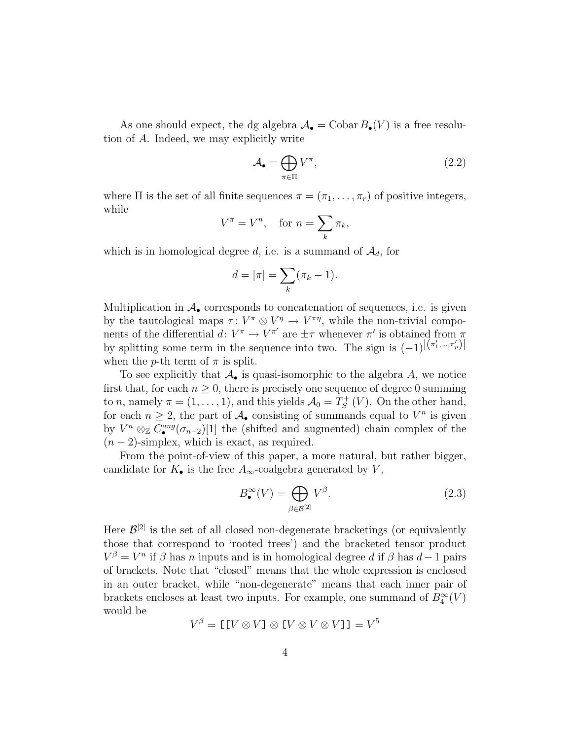As one should expect, the dg algebra  $\mathcal{A}_{\bullet} = \text{Cobar } B_{\bullet}(V)$  is a free resolution of A. Indeed, we may explicitly write

$$
\mathcal{A}_{\bullet} = \bigoplus_{\pi \in \Pi} V^{\pi},\tag{2.2}
$$

where  $\Pi$  is the set of all finite sequences  $\pi = (\pi_1, \ldots, \pi_r)$  of positive integers, while

$$
V^{\pi} = V^n, \quad \text{for } n = \sum_{k} \pi_k,
$$

which is in homological degree d, i.e. is a summand of  $\mathcal{A}_d$ , for

$$
d=|\pi|=\sum_{k}(\pi_k-1).
$$

Multiplication in  $\mathcal{A}_{\bullet}$  corresponds to concatenation of sequences, i.e. is given by the tautological maps  $\tau: V^{\pi} \otimes V^{\eta} \to V^{\pi\eta}$ , while the non-trivial components of the differential  $d: V^{\pi} \to V^{\pi'}$  are  $\pm \tau$  whenever  $\pi'$  is obtained from  $\pi$ by splitting some term in the sequence into two. The sign is  $(-1)^{|(\pi'_1,...,\pi'_p)|}$ when the p-th term of  $\pi$  is split.

To see explicitly that  $\mathcal{A}_{\bullet}$  is quasi-isomorphic to the algebra A, we notice first that, for each  $n \geq 0$ , there is precisely one sequence of degree 0 summing to *n*, namely  $\pi = (1, \ldots, 1)$ , and this yields  $\mathcal{A}_0 = T_S^+$  $S<sub>S</sub><sup>++</sup>(V)$ . On the other hand, for each  $n \geq 2$ , the part of  $\mathcal{A}_{\bullet}$  consisting of summands equal to  $V^n$  is given by  $V^n \otimes_{\mathbb{Z}} C^{aug}_{\bullet}(\sigma_{n-2})[1]$  the (shifted and augmented) chain complex of the  $(n-2)$ -simplex, which is exact, as required.

From the point-of-view of this paper, a more natural, but rather bigger, candidate for  $K_{\bullet}$  is the free  $A_{\infty}$ -coalgebra generated by  $V$ ,

$$
B_{\bullet}^{\infty}(V) = \bigoplus_{\beta \in \mathcal{B}^{[2]}} V^{\beta}.
$$
 (2.3)

Here  $\mathcal{B}^{[2]}$  is the set of all closed non-degenerate bracketings (or equivalently those that correspond to 'rooted trees') and the bracketed tensor product  $V^{\beta} = V^{n}$  if  $\beta$  has n inputs and is in homological degree d if  $\beta$  has  $d-1$  pairs of brackets. Note that "closed" means that the whole expression is enclosed in an outer bracket, while "non-degenerate" means that each inner pair of brackets encloses at least two inputs. For example, one summand of  $B_4^{\infty}(V)$ would be

$$
V^{\beta} = [[V \otimes V] \otimes [V \otimes V \otimes V]] = V^{5}
$$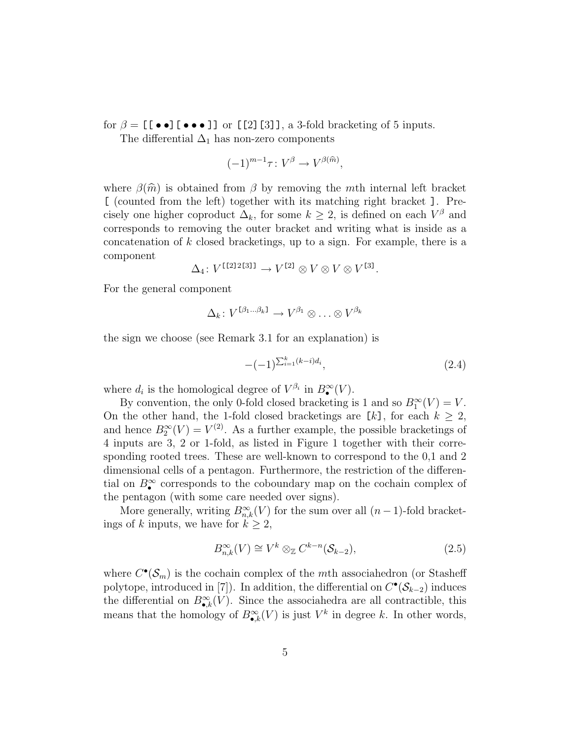for  $\beta = [$  [ • • ]  $\bullet$  • ]] or [[2][3]], a 3-fold bracketing of 5 inputs.

The differential  $\Delta_1$  has non-zero components

$$
(-1)^{m-1}\tau\colon V^{\beta}\to V^{\beta(\widehat{m})},
$$

where  $\beta(\hat{m})$  is obtained from  $\beta$  by removing the mth internal left bracket [ (counted from the left) together with its matching right bracket ]. Precisely one higher coproduct  $\Delta_k$ , for some  $k \geq 2$ , is defined on each  $V^{\beta}$  and corresponds to removing the outer bracket and writing what is inside as a concatenation of  $k$  closed bracketings, up to a sign. For example, there is a component

$$
\Delta_4\colon V^{[12]2[31]} \to V^{[2]} \otimes V \otimes V \otimes V^{[3]}.
$$

For the general component

$$
\Delta_k \colon V^{\mathfrak{[} \beta_1 \dots \beta_k \mathfrak{]}} \to V^{\beta_1} \otimes \ldots \otimes V^{\beta_k}
$$

the sign we choose (see Remark 3.1 for an explanation) is

$$
-(-1)^{\sum_{i=1}^{k}(k-i)d_i},\tag{2.4}
$$

where  $d_i$  is the homological degree of  $V^{\beta_i}$  in  $B^{\infty}(\mathcal{V})$ .

By convention, the only 0-fold closed bracketing is 1 and so  $B_1^{\infty}(V) = V$ . On the other hand, the 1-fold closed bracketings are  $[k]$ , for each  $k \geq 2$ , and hence  $B_2^{\infty}(V) = V^{(2)}$ . As a further example, the possible bracketings of 4 inputs are 3, 2 or 1-fold, as listed in Figure 1 together with their corresponding rooted trees. These are well-known to correspond to the 0,1 and 2 dimensional cells of a pentagon. Furthermore, the restriction of the differential on  $B_{\bullet}^{\infty}$  corresponds to the coboundary map on the cochain complex of the pentagon (with some care needed over signs).

More generally, writing  $B_{n,k}^{\infty}(V)$  for the sum over all  $(n-1)$ -fold bracketings of k inputs, we have for  $k \geq 2$ ,

$$
B_{n,k}^{\infty}(V) \cong V^k \otimes_{\mathbb{Z}} C^{k-n}(\mathcal{S}_{k-2}),
$$
\n(2.5)

where  $C^{\bullet}(\mathcal{S}_m)$  is the cochain complex of the mth associahedron (or Stasheff polytope, introduced in [7]). In addition, the differential on  $C^{\bullet}(\mathcal{S}_{k-2})$  induces the differential on  $B_{\bullet,k}^{\infty}(V)$ . Since the associahedra are all contractible, this means that the homology of  $B_{\bullet,k}^{\infty}(V)$  is just  $V^k$  in degree k. In other words,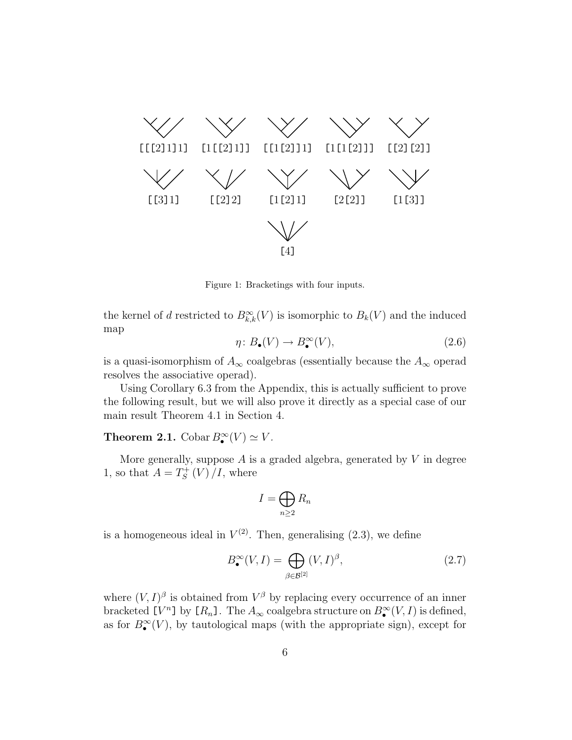

Figure 1: Bracketings with four inputs.

the kernel of d restricted to  $B_{k,k}^{\infty}(V)$  is isomorphic to  $B_k(V)$  and the induced map

$$
\eta \colon B_{\bullet}(V) \to B_{\bullet}^{\infty}(V), \tag{2.6}
$$

is a quasi-isomorphism of  $A_{\infty}$  coalgebras (essentially because the  $A_{\infty}$  operad resolves the associative operad).

Using Corollary 6.3 from the Appendix, this is actually sufficient to prove the following result, but we will also prove it directly as a special case of our main result Theorem 4.1 in Section 4.

**Theorem 2.1.** Cobar  $B_{\bullet}^{\infty}(V) \simeq V$ .

More generally, suppose A is a graded algebra, generated by  $V$  in degree 1, so that  $A=T_s^+$  $\int_S^+(V)/I$ , where

$$
I=\bigoplus_{n\geq 2}R_n
$$

is a homogeneous ideal in  $V^{(2)}$ . Then, generalising  $(2.3)$ , we define

$$
B_{\bullet}^{\infty}(V, I) = \bigoplus_{\beta \in \mathcal{B}^{[2]}} (V, I)^{\beta}, \tag{2.7}
$$

where  $(V, I)^\beta$  is obtained from  $V^\beta$  by replacing every occurrence of an inner bracketed  $[V^n]$  by  $[R_n]$ . The  $A_\infty$  coalgebra structure on  $B_\bullet^\infty(V, I)$  is defined, as for  $B_{\bullet}^{\infty}(V)$ , by tautological maps (with the appropriate sign), except for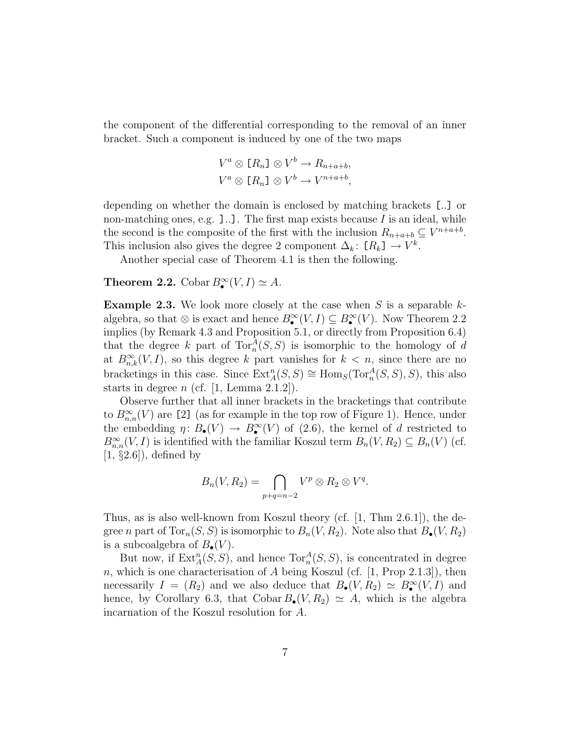the component of the differential corresponding to the removal of an inner bracket. Such a component is induced by one of the two maps

$$
V^a \otimes [R_n] \otimes V^b \to R_{n+a+b},
$$
  

$$
V^a \otimes [R_n] \otimes V^b \to V^{n+a+b},
$$

depending on whether the domain is enclosed by matching brackets [..] or non-matching ones, e.g.  $]$ ..]. The first map exists because I is an ideal, while the second is the composite of the first with the inclusion  $R_{n+a+b} \subseteq V^{n+a+b}$ . This inclusion also gives the degree 2 component  $\Delta_k$ :  $[R_k] \to V^k$ .

Another special case of Theorem 4.1 is then the following.

## **Theorem 2.2.** Cobar  $B_{\bullet}^{\infty}(V, I) \simeq A$ .

**Example 2.3.** We look more closely at the case when S is a separable  $k$ algebra, so that ⊗ is exact and hence  $B^{\infty}_{\bullet}(V, I) \subseteq B^{\infty}_{\bullet}(V)$ . Now Theorem 2.2 implies (by Remark 4.3 and Proposition 5.1, or directly from Proposition 6.4) that the degree k part of  $Tor_n^A(S, S)$  is isomorphic to the homology of d at  $B_{n,k}^{\infty}(V, I)$ , so this degree k part vanishes for  $k < n$ , since there are no bracketings in this case. Since  $\text{Ext}_{A}^{n}(S, S) \cong \text{Hom}_{S}(\text{Tor}_{n}^{A}(S, S), S)$ , this also starts in degree  $n$  (cf. [1, Lemma 2.1.2]).

Observe further that all inner brackets in the bracketings that contribute to  $B_{n,n}^{\infty}(V)$  are [2] (as for example in the top row of Figure 1). Hence, under the embedding  $\eta: B_{\bullet}(V) \to B_{\bullet}^{\infty}(V)$  of (2.6), the kernel of d restricted to  $B_{n,n}^{\infty}(V, I)$  is identified with the familiar Koszul term  $B_n(V, R_2) \subseteq B_n(V)$  (cf.  $[1, §2.6]$ , defined by

$$
B_n(V, R_2) = \bigcap_{p+q=n-2} V^p \otimes R_2 \otimes V^q.
$$

Thus, as is also well-known from Koszul theory (cf. [1, Thm 2.6.1]), the degree *n* part of  $Tor_n(S, S)$  is isomorphic to  $B_n(V, R_2)$ . Note also that  $B_{\bullet}(V, R_2)$ is a subcoalgebra of  $B_{\bullet}(V)$ .

But now, if  $\text{Ext}_{A}^{n}(S, S)$ , and hence  $\text{Tor}_{n}^{A}(S, S)$ , is concentrated in degree n, which is one characterisation of A being Koszul (cf.  $[1, Prop\ 2.1.3]$ ), then necessarily  $I = (R_2)$  and we also deduce that  $B_{\bullet}(V, R_2) \simeq B_{\bullet}^{\infty}(V, I)$  and hence, by Corollary 6.3, that Cobar  $B_{\bullet}(V, R_2) \simeq A$ , which is the algebra incarnation of the Koszul resolution for A.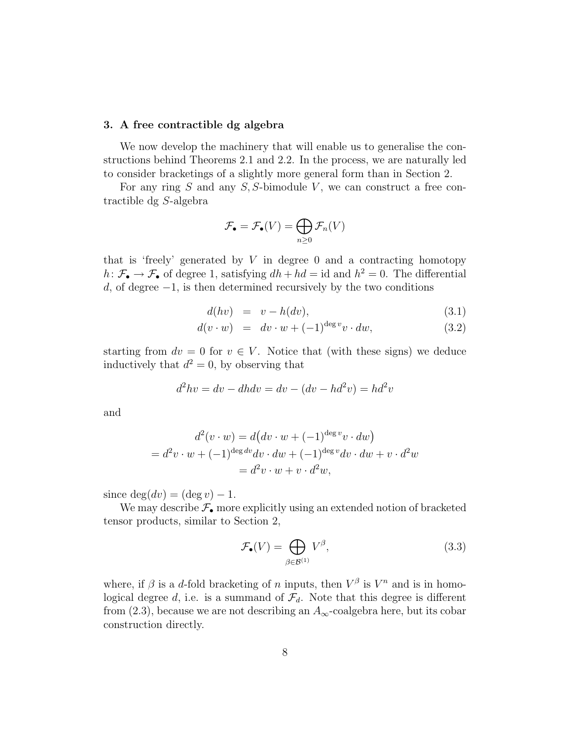#### 3. A free contractible dg algebra

We now develop the machinery that will enable us to generalise the constructions behind Theorems 2.1 and 2.2. In the process, we are naturally led to consider bracketings of a slightly more general form than in Section 2.

For any ring  $S$  and any  $S$ ,  $S$ -bimodule  $V$ , we can construct a free contractible dg S-algebra

$$
\mathcal{F}_{\bullet}=\mathcal{F}_{\bullet}(V)=\bigoplus_{n\geq 0}\mathcal{F}_{n}(V)
$$

that is 'freely' generated by  $V$  in degree 0 and a contracting homotopy  $h: \mathcal{F}_{\bullet} \to \mathcal{F}_{\bullet}$  of degree 1, satisfying  $dh + hd = id$  and  $h^2 = 0$ . The differential  $d$ , of degree  $-1$ , is then determined recursively by the two conditions

$$
d(hv) = v - h(dv), \tag{3.1}
$$

$$
d(v \cdot w) = dv \cdot w + (-1)^{\deg v} v \cdot dw, \tag{3.2}
$$

starting from  $dv = 0$  for  $v \in V$ . Notice that (with these signs) we deduce inductively that  $d^2 = 0$ , by observing that

$$
d^2hv = dv - dh dv = dv - (dv - hd^2v) = hd^2v
$$

and

$$
d^2(v \cdot w) = d\left(dv \cdot w + (-1)^{\deg v}v \cdot dw\right)
$$
  
= 
$$
d^2v \cdot w + (-1)^{\deg dv}dv \cdot dw + (-1)^{\deg v}dv \cdot dw + v \cdot d^2w
$$
  
= 
$$
d^2v \cdot w + v \cdot d^2w,
$$

since  $\deg(dv) = (\deg v) - 1$ .

We may describe  $\mathcal{F}_{\bullet}$  more explicitly using an extended notion of bracketed tensor products, similar to Section 2,

$$
\mathcal{F}_{\bullet}(V) = \bigoplus_{\beta \in \mathcal{B}^{(1)}} V^{\beta},\tag{3.3}
$$

where, if  $\beta$  is a d-fold bracketing of n inputs, then  $V^{\beta}$  is  $V^{n}$  and is in homological degree d, i.e. is a summand of  $\mathcal{F}_d$ . Note that this degree is different from (2.3), because we are not describing an  $A_{\infty}$ -coalgebra here, but its cobar construction directly.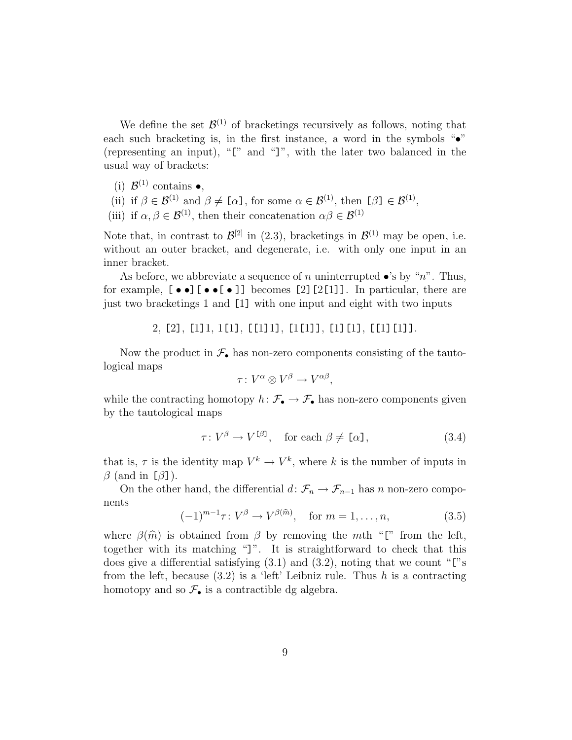We define the set  $\mathcal{B}^{(1)}$  of bracketings recursively as follows, noting that each such bracketing is, in the first instance, a word in the symbols " $\bullet$ " (representing an input), "[" and "]", with the later two balanced in the usual way of brackets:

- (i)  $\mathcal{B}^{(1)}$  contains  $\bullet$ ,
- (ii) if  $\beta \in \mathcal{B}^{(1)}$  and  $\beta \neq [\alpha]$ , for some  $\alpha \in \mathcal{B}^{(1)}$ , then  $[\beta] \in \mathcal{B}^{(1)}$ ,
- (iii) if  $\alpha, \beta \in \mathcal{B}^{(1)}$ , then their concatenation  $\alpha\beta \in \mathcal{B}^{(1)}$

Note that, in contrast to  $\mathcal{B}^{[2]}$  in (2.3), bracketings in  $\mathcal{B}^{(1)}$  may be open, i.e. without an outer bracket, and degenerate, i.e. with only one input in an inner bracket.

As before, we abbreviate a sequence of n uninterrupted  $\bullet$ 's by "n". Thus, for example,  $[\bullet \bullet] [\bullet \bullet [\bullet]]$  becomes [2][2[1]]. In particular, there are just two bracketings 1 and [1] with one input and eight with two inputs

2, [2], [1]1, 1[1], [[1]1], [1[1]], [1][1], [[1][1]].

Now the product in  $\mathcal{F}_{\bullet}$  has non-zero components consisting of the tautological maps

$$
\tau\colon V^{\alpha}\otimes V^{\beta}\to V^{\alpha\beta},
$$

while the contracting homotopy  $h: \mathcal{F}_{\bullet} \to \mathcal{F}_{\bullet}$  has non-zero components given by the tautological maps

$$
\tau: V^{\beta} \to V^{[\beta]}, \quad \text{for each } \beta \neq [\alpha], \tag{3.4}
$$

that is,  $\tau$  is the identity map  $V^k \to V^k$ , where k is the number of inputs in  $\beta$  (and in [ $\beta$ ]).

On the other hand, the differential  $d: \mathcal{F}_n \to \mathcal{F}_{n-1}$  has n non-zero components

$$
(-1)^{m-1}\tau: V^{\beta} \to V^{\beta(\widehat{m})}, \quad \text{for } m = 1, \dots, n,
$$
\n(3.5)

where  $\beta(\hat{m})$  is obtained from  $\beta$  by removing the mth "[" from the left, together with its matching "]". It is straightforward to check that this does give a differential satisfying  $(3.1)$  and  $(3.2)$ , noting that we count "["s" from the left, because  $(3.2)$  is a 'left' Leibniz rule. Thus h is a contracting homotopy and so  $\mathcal{F}_{\bullet}$  is a contractible dg algebra.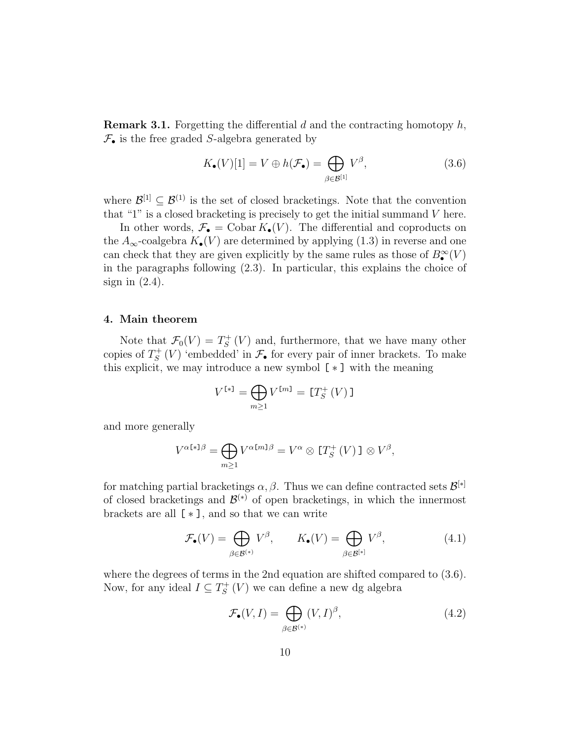**Remark 3.1.** Forgetting the differential d and the contracting homotopy  $h$ ,  $\mathcal{F}_{\bullet}$  is the free graded S-algebra generated by

$$
K_{\bullet}(V)[1] = V \oplus h(\mathcal{F}_{\bullet}) = \bigoplus_{\beta \in \mathcal{B}^{[1]}} V^{\beta},\tag{3.6}
$$

where  $\mathcal{B}^{[1]} \subseteq \mathcal{B}^{(1)}$  is the set of closed bracketings. Note that the convention that "1" is a closed bracketing is precisely to get the initial summand  $V$  here.

In other words,  $\mathcal{F}_{\bullet} = \text{Cobar } K_{\bullet}(V)$ . The differential and coproducts on the  $A_{\infty}$ -coalgebra  $K_{\bullet}(V)$  are determined by applying (1.3) in reverse and one can check that they are given explicitly by the same rules as those of  $B_{\bullet}^{\infty}(V)$ in the paragraphs following (2.3). In particular, this explains the choice of sign in  $(2.4)$ .

#### 4. Main theorem

Note that  $\mathcal{F}_0(V) = T_S^+$  $S<sub>S</sub><sup>+</sup>(V)$  and, furthermore, that we have many other copies of  $T_s^+$  $S^+(V)$  'embedded' in  $\mathcal{F}_{\bullet}$  for every pair of inner brackets. To make this explicit, we may introduce a new symbol  $[*]$  with the meaning

$$
V^{[*]} = \bigoplus_{m \ge 1} V^{[m]} = [T_S^+(V)]
$$

and more generally

$$
V^{\alpha[s]}\beta = \bigoplus_{m\geq 1} V^{\alpha[m]\beta} = V^{\alpha} \otimes [T_S^+(V)] \otimes V^{\beta},
$$

for matching partial bracketings  $\alpha, \beta$ . Thus we can define contracted sets  $\mathcal{B}^{[*]}$ of closed bracketings and  $\mathcal{B}^{(*)}$  of open bracketings, in which the innermost brackets are all  $[*]$ , and so that we can write

$$
\mathcal{F}_{\bullet}(V) = \bigoplus_{\beta \in \mathcal{B}^{(*)}} V^{\beta}, \qquad K_{\bullet}(V) = \bigoplus_{\beta \in \mathcal{B}^{[*]}} V^{\beta}, \tag{4.1}
$$

where the degrees of terms in the 2nd equation are shifted compared to (3.6). Now, for any ideal  $I \subseteq T_S^+$  $S^+(V)$  we can define a new dg algebra

$$
\mathcal{F}_{\bullet}(V, I) = \bigoplus_{\beta \in \mathcal{B}^{(*)}} (V, I)^{\beta}, \tag{4.2}
$$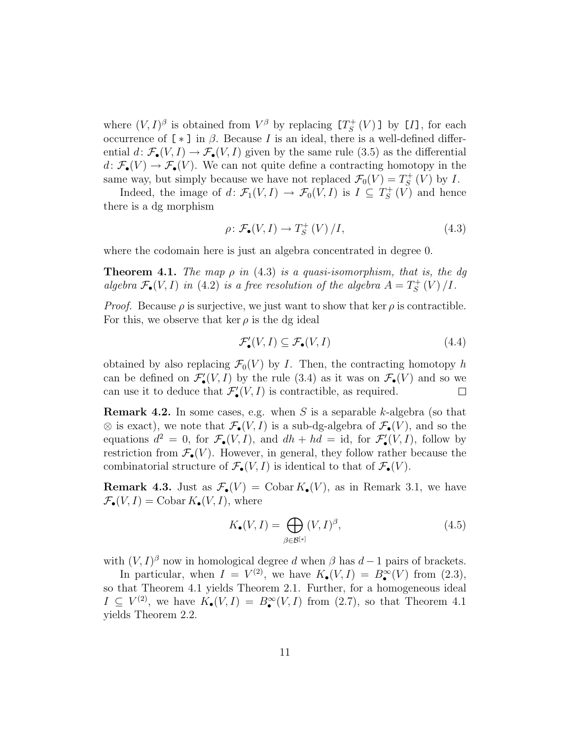where  $(V, I)^\beta$  is obtained from  $V^\beta$  by replacing  $[T_s^+]$  $S^+(V)$ ] by [*I*], for each occurrence of  $[\ast]$  in  $\beta$ . Because I is an ideal, there is a well-defined differential  $d: \mathcal{F}_{\bullet}(V, I) \to \mathcal{F}_{\bullet}(V, I)$  given by the same rule (3.5) as the differential  $d \colon \mathcal{F}_{\bullet}(V) \to \mathcal{F}_{\bullet}(V)$ . We can not quite define a contracting homotopy in the same way, but simply because we have not replaced  $\mathcal{F}_0(V) = T_S^+$  $\iota_S^+(V)$  by I.

Indeed, the image of  $d \colon \mathcal{F}_1(V,I) \to \mathcal{F}_0(V,I)$  is  $I \subseteq T_S^+$  $S<sub>S</sub><sup>++</sup>(V)$  and hence there is a dg morphism

$$
\rho \colon \mathcal{F}_{\bullet}(V, I) \to T_S^+(V) / I,\tag{4.3}
$$

where the codomain here is just an algebra concentrated in degree 0.

**Theorem 4.1.** The map  $\rho$  in (4.3) is a quasi-isomorphism, that is, the dg algebra  $\mathcal{F}_{\bullet}(V, I)$  in (4.2) is a free resolution of the algebra  $A = T_{S}^{+}$  $\int_{S}^{+}(V) / I.$ 

*Proof.* Because  $\rho$  is surjective, we just want to show that ker  $\rho$  is contractible. For this, we observe that ker  $\rho$  is the dg ideal

$$
\mathcal{F}'_{\bullet}(V, I) \subseteq \mathcal{F}_{\bullet}(V, I) \tag{4.4}
$$

obtained by also replacing  $\mathcal{F}_0(V)$  by I. Then, the contracting homotopy h can be defined on  $\mathcal{F}'_{\bullet}(V, I)$  by the rule (3.4) as it was on  $\mathcal{F}_{\bullet}(V)$  and so we can use it to deduce that  $\mathcal{F}'_{\bullet}(V, I)$  is contractible, as required.  $\Box$ 

**Remark 4.2.** In some cases, e.g. when S is a separable k-algebra (so that  $\otimes$  is exact), we note that  $\mathcal{F}_{\bullet}(V, I)$  is a sub-dg-algebra of  $\mathcal{F}_{\bullet}(V)$ , and so the equations  $d^2 = 0$ , for  $\mathcal{F}_{\bullet}(V, I)$ , and  $dh + hd = id$ , for  $\mathcal{F}'_{\bullet}(V, I)$ , follow by restriction from  $\mathcal{F}_{\bullet}(V)$ . However, in general, they follow rather because the combinatorial structure of  $\mathcal{F}_{\bullet}(V, I)$  is identical to that of  $\mathcal{F}_{\bullet}(V)$ .

**Remark 4.3.** Just as  $\mathcal{F}_{\bullet}(V) = \text{Cobar } K_{\bullet}(V)$ , as in Remark 3.1, we have  $\mathcal{F}_{\bullet}(V, I) = \text{Cobar } K_{\bullet}(V, I), \text{ where}$ 

$$
K_{\bullet}(V, I) = \bigoplus_{\beta \in \mathcal{B}^{[*]}} (V, I)^{\beta}, \tag{4.5}
$$

with  $(V, I)$ <sup>β</sup> now in homological degree d when  $\beta$  has  $d-1$  pairs of brackets.

In particular, when  $I = V^{(2)}$ , we have  $K_{\bullet}(V, I) = B_{\bullet}^{\infty}(V)$  from (2.3), so that Theorem 4.1 yields Theorem 2.1. Further, for a homogeneous ideal  $I \subseteq V^{(2)}$ , we have  $K_{\bullet}(V, I) = B_{\bullet}^{\infty}(V, I)$  from  $(2.7)$ , so that Theorem 4.1 yields Theorem 2.2.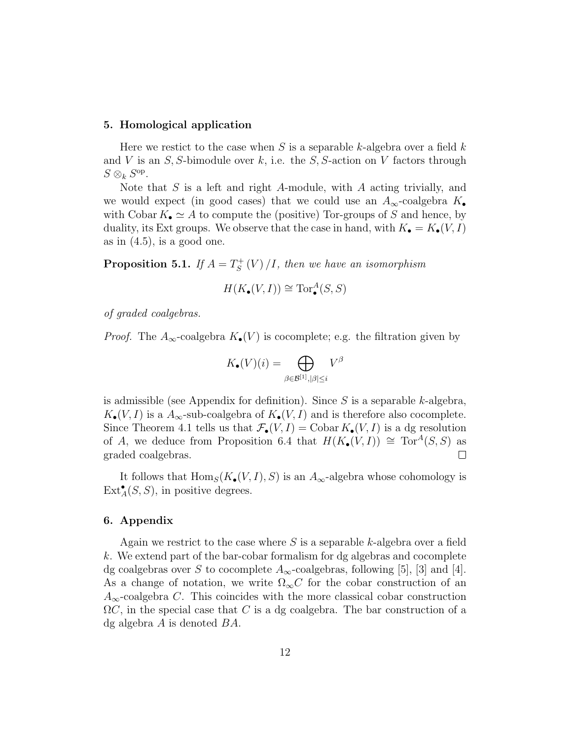#### 5. Homological application

Here we restict to the case when  $S$  is a separable k-algebra over a field  $k$ and V is an  $S$ , S-bimodule over k, i.e. the  $S$ , S-action on V factors through  $S\otimes_k S^{\mathrm{op}}$ .

Note that  $S$  is a left and right  $A$ -module, with  $A$  acting trivially, and we would expect (in good cases) that we could use an  $A_{\infty}$ -coalgebra  $K_{\bullet}$ with Cobar  $K_{\bullet} \simeq A$  to compute the (positive) Tor-groups of S and hence, by duality, its Ext groups. We observe that the case in hand, with  $K_{\bullet} = K_{\bullet}(V, I)$ as in  $(4.5)$ , is a good one.

Proposition 5.1. If  $A = T_S^+$  $S^+_S(V) / I$ , then we have an isomorphism

$$
H(K_{\bullet}(V, I)) \cong \operatorname{Tor}^A_{\bullet}(S, S)
$$

of graded coalgebras.

*Proof.* The  $A_{\infty}$ -coalgebra  $K_{\bullet}(V)$  is cocomplete; e.g. the filtration given by

$$
K_{\bullet}(V)(i) = \bigoplus_{\beta \in \mathcal{B}^{[1]}, |\beta| \leq i} V^{\beta}
$$

is admissible (see Appendix for definition). Since  $S$  is a separable k-algebra,  $K_{\bullet}(V, I)$  is a  $A_{\infty}$ -sub-coalgebra of  $K_{\bullet}(V, I)$  and is therefore also cocomplete. Since Theorem 4.1 tells us that  $\mathcal{F}_{\bullet}(V, I) = \text{Cobar } K_{\bullet}(V, I)$  is a dg resolution of A, we deduce from Proposition 6.4 that  $H(K_{\bullet}(V, I)) \cong Tor^{A}(S, S)$  as graded coalgebras.  $\Box$ 

It follows that  $\text{Hom}_S(K_{\bullet}(V, I), S)$  is an  $A_{\infty}$ -algebra whose cohomology is  $\text{Ext}_{A}^{\bullet}(S, S)$ , in positive degrees.

#### 6. Appendix

Again we restrict to the case where  $S$  is a separable k-algebra over a field k. We extend part of the bar-cobar formalism for dg algebras and cocomplete dg coalgebras over S to cocomplete  $A_{\infty}$ -coalgebras, following [5], [3] and [4]. As a change of notation, we write  $\Omega_{\infty}C$  for the cobar construction of an  $A_{\infty}$ -coalgebra C. This coincides with the more classical cobar construction  $\Omega C$ , in the special case that C is a dg coalgebra. The bar construction of a dg algebra A is denoted BA.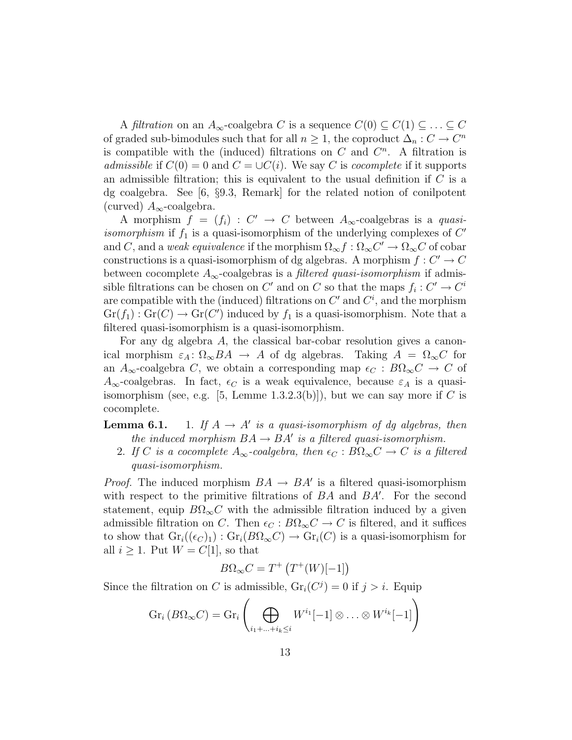A *filtration* on an  $A_{\infty}$ -coalgebra C is a sequence  $C(0) \subseteq C(1) \subseteq \ldots \subseteq C$ of graded sub-bimodules such that for all  $n \geq 1$ , the coproduct  $\Delta_n : C \to C^n$ is compatible with the (induced) filtrations on  $C$  and  $C<sup>n</sup>$ . A filtration is admissible if  $C(0) = 0$  and  $C = \bigcup C(i)$ . We say C is cocomplete if it supports an admissible filtration; this is equivalent to the usual definition if  $C$  is a dg coalgebra. See [6, §9.3, Remark] for the related notion of conilpotent (curved)  $A_{\infty}$ -coalgebra.

A morphism  $f = (f_i) : C' \to C$  between  $A_{\infty}$ -coalgebras is a quasiisomorphism if  $f_1$  is a quasi-isomorphism of the underlying complexes of  $C'$ and C, and a weak equivalence if the morphism  $\Omega_{\infty} f : \Omega_{\infty} C' \to \Omega_{\infty} C$  of cobar constructions is a quasi-isomorphism of dg algebras. A morphism  $f: C' \to C$ between cocomplete  $A_{\infty}$ -coalgebras is a *filtered quasi-isomorphism* if admissible filtrations can be chosen on  $C'$  and on  $C$  so that the maps  $f_i: C' \to C^i$ are compatible with the (induced) filtrations on  $C'$  and  $C<sup>i</sup>$ , and the morphism  $Gr(f_1): Gr(C) \to Gr(C')$  induced by  $f_1$  is a quasi-isomorphism. Note that a filtered quasi-isomorphism is a quasi-isomorphism.

For any dg algebra A, the classical bar-cobar resolution gives a canonical morphism  $\varepsilon_A: \Omega_{\infty} BA \to A$  of dg algebras. Taking  $A = \Omega_{\infty} C$  for an  $A_{\infty}$ -coalgebra C, we obtain a corresponding map  $\epsilon_C : B\Omega_{\infty}C \to C$  of  $A_{\infty}$ -coalgebras. In fact,  $\epsilon_C$  is a weak equivalence, because  $\varepsilon_A$  is a quasiisomorphism (see, e.g. [5, Lemme 1.3.2.3(b)]), but we can say more if C is cocomplete.

### **Lemma 6.1.** 1. If  $A \rightarrow A'$  is a quasi-isomorphism of dg algebras, then the induced morphism  $BA \rightarrow BA'$  is a filtered quasi-isomorphism.

2. If C is a cocomplete  $A_{\infty}$ -coalgebra, then  $\epsilon_C : B\Omega_{\infty}C \to C$  is a filtered quasi-isomorphism.

*Proof.* The induced morphism  $BA \rightarrow BA'$  is a filtered quasi-isomorphism with respect to the primitive filtrations of  $BA$  and  $BA'$ . For the second statement, equip  $B\Omega_{\infty}C$  with the admissible filtration induced by a given admissible filtration on C. Then  $\epsilon_C : B\Omega_\infty C \to C$  is filtered, and it suffices to show that  $Gr_i((\epsilon_C)_1) : Gr_i(B\Omega_\infty C) \to Gr_i(C)$  is a quasi-isomorphism for all  $i \geq 1$ . Put  $W = C[1]$ , so that

$$
B\Omega_{\infty}C = T^{+}\left(T^{+}(W)[-1]\right)
$$

Since the filtration on C is admissible,  $\text{Gr}_i(C^j) = 0$  if  $j > i$ . Equip

$$
\operatorname{Gr}_{i} (B\Omega_{\infty} C) = \operatorname{Gr}_{i} \left( \bigoplus_{i_{1} + ... + i_{k} \leq i} W^{i_{1}}[-1] \otimes ... \otimes W^{i_{k}}[-1] \right)
$$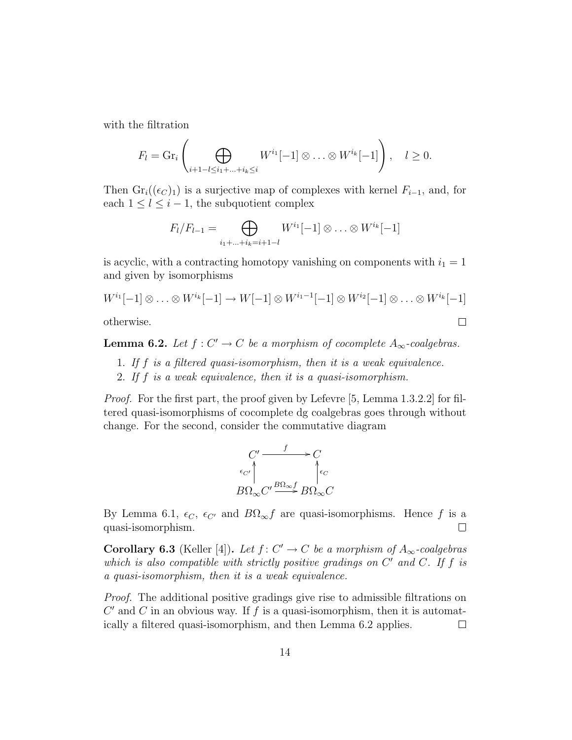with the filtration

$$
F_l = \mathrm{Gr}_i \left( \bigoplus_{i+1-l \leq i_1+\ldots+i_k \leq i} W^{i_1}[-1] \otimes \ldots \otimes W^{i_k}[-1] \right), \quad l \geq 0.
$$

Then  $\text{Gr}_i((\epsilon_C)_1)$  is a surjective map of complexes with kernel  $F_{i-1}$ , and, for each  $1 \leq l \leq i-1$ , the subquotient complex

$$
F_l/F_{l-1} = \bigoplus_{i_1+\ldots+i_k=i+1-l} W^{i_1}[-1] \otimes \ldots \otimes W^{i_k}[-1]
$$

is acyclic, with a contracting homotopy vanishing on components with  $i_1 = 1$ and given by isomorphisms

$$
W^{i_1}[-1] \otimes \ldots \otimes W^{i_k}[-1] \to W[-1] \otimes W^{i_1-1}[-1] \otimes W^{i_2}[-1] \otimes \ldots \otimes W^{i_k}[-1]
$$

 $\Box$ 

otherwise.

**Lemma 6.2.** Let  $f: C' \to C$  be a morphism of cocomplete  $A_{\infty}$ -coalgebras.

- 1. If f is a filtered quasi-isomorphism, then it is a weak equivalence.
- 2. If f is a weak equivalence, then it is a quasi-isomorphism.

Proof. For the first part, the proof given by Lefevre [5, Lemma 1.3.2.2] for filtered quasi-isomorphisms of cocomplete dg coalgebras goes through without change. For the second, consider the commutative diagram

$$
\begin{array}{ccc}\nC' & \xrightarrow{f} & C \\
\epsilon_{C'} & & \searrow^{\epsilon_{C'}} \\
B\Omega_{\infty}C' & \xrightarrow{B\Omega_{\infty}f} B\Omega_{\infty}C\n\end{array}
$$

By Lemma 6.1,  $\epsilon_C$ ,  $\epsilon_{C'}$  and  $B\Omega_{\infty}f$  are quasi-isomorphisms. Hence f is a quasi-isomorphism.  $\Box$ 

**Corollary 6.3** (Keller [4]). Let  $f: C' \to C$  be a morphism of  $A_{\infty}$ -coalgebras which is also compatible with strictly positive gradings on  $C'$  and  $C$ . If  $f$  is a quasi-isomorphism, then it is a weak equivalence.

Proof. The additional positive gradings give rise to admissible filtrations on  $C'$  and  $C$  in an obvious way. If  $f$  is a quasi-isomorphism, then it is automatically a filtered quasi-isomorphism, and then Lemma 6.2 applies.  $\Box$